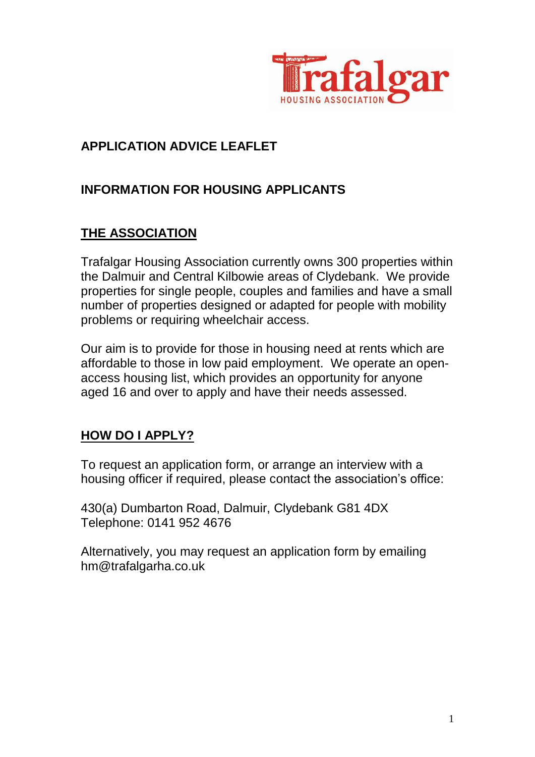

#### **APPLICATION ADVICE LEAFLET**

#### **INFORMATION FOR HOUSING APPLICANTS**

# **THE ASSOCIATION**

Trafalgar Housing Association currently owns 300 properties within the Dalmuir and Central Kilbowie areas of Clydebank. We provide properties for single people, couples and families and have a small number of properties designed or adapted for people with mobility problems or requiring wheelchair access.

Our aim is to provide for those in housing need at rents which are affordable to those in low paid employment. We operate an openaccess housing list, which provides an opportunity for anyone aged 16 and over to apply and have their needs assessed.

#### **HOW DO I APPLY?**

To request an application form, or arrange an interview with a housing officer if required, please contact the association's office:

430(a) Dumbarton Road, Dalmuir, Clydebank G81 4DX Telephone: 0141 952 4676

Alternatively, you may request an application form by emailing hm@trafalgarha.co.uk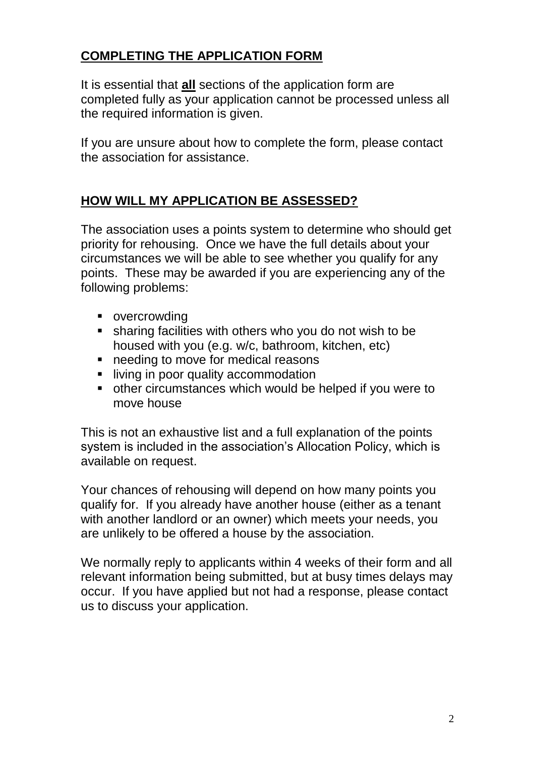# **COMPLETING THE APPLICATION FORM**

It is essential that **all** sections of the application form are completed fully as your application cannot be processed unless all the required information is given.

If you are unsure about how to complete the form, please contact the association for assistance.

# **HOW WILL MY APPLICATION BE ASSESSED?**

The association uses a points system to determine who should get priority for rehousing. Once we have the full details about your circumstances we will be able to see whether you qualify for any points. These may be awarded if you are experiencing any of the following problems:

- **•** overcrowding
- sharing facilities with others who you do not wish to be housed with you (e.g. w/c, bathroom, kitchen, etc)
- needing to move for medical reasons
- **I** living in poor quality accommodation
- other circumstances which would be helped if you were to move house

This is not an exhaustive list and a full explanation of the points system is included in the association's Allocation Policy, which is available on request.

Your chances of rehousing will depend on how many points you qualify for. If you already have another house (either as a tenant with another landlord or an owner) which meets your needs, you are unlikely to be offered a house by the association.

We normally reply to applicants within 4 weeks of their form and all relevant information being submitted, but at busy times delays may occur. If you have applied but not had a response, please contact us to discuss your application.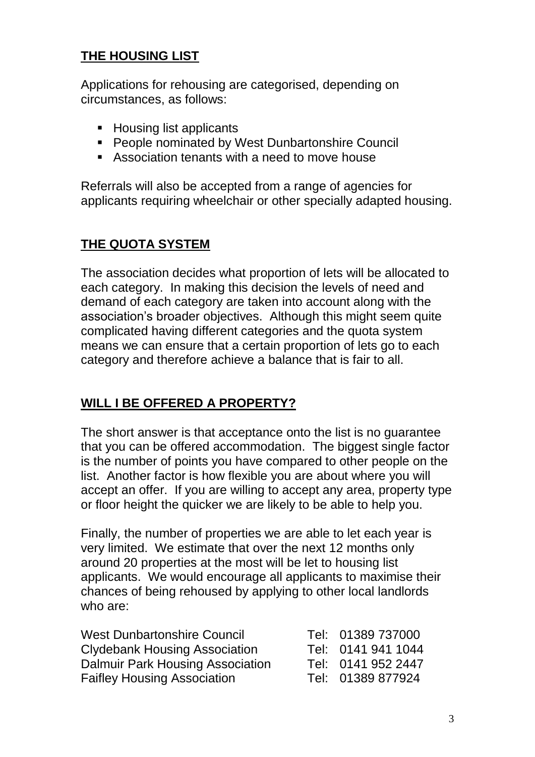# **THE HOUSING LIST**

Applications for rehousing are categorised, depending on circumstances, as follows:

- Housing list applicants
- **People nominated by West Dunbartonshire Council**
- Association tenants with a need to move house

Referrals will also be accepted from a range of agencies for applicants requiring wheelchair or other specially adapted housing.

# **THE QUOTA SYSTEM**

The association decides what proportion of lets will be allocated to each category. In making this decision the levels of need and demand of each category are taken into account along with the association's broader objectives. Although this might seem quite complicated having different categories and the quota system means we can ensure that a certain proportion of lets go to each category and therefore achieve a balance that is fair to all.

# **WILL I BE OFFERED A PROPERTY?**

The short answer is that acceptance onto the list is no guarantee that you can be offered accommodation. The biggest single factor is the number of points you have compared to other people on the list. Another factor is how flexible you are about where you will accept an offer. If you are willing to accept any area, property type or floor height the quicker we are likely to be able to help you.

Finally, the number of properties we are able to let each year is very limited. We estimate that over the next 12 months only around 20 properties at the most will be let to housing list applicants. We would encourage all applicants to maximise their chances of being rehoused by applying to other local landlords who are:

| <b>West Dunbartonshire Council</b>      | Tel: 01389 737000  |
|-----------------------------------------|--------------------|
| <b>Clydebank Housing Association</b>    | Tel: 0141 941 1044 |
| <b>Dalmuir Park Housing Association</b> | Tel: 0141 952 2447 |
| <b>Faifley Housing Association</b>      | Tel: 01389 877924  |